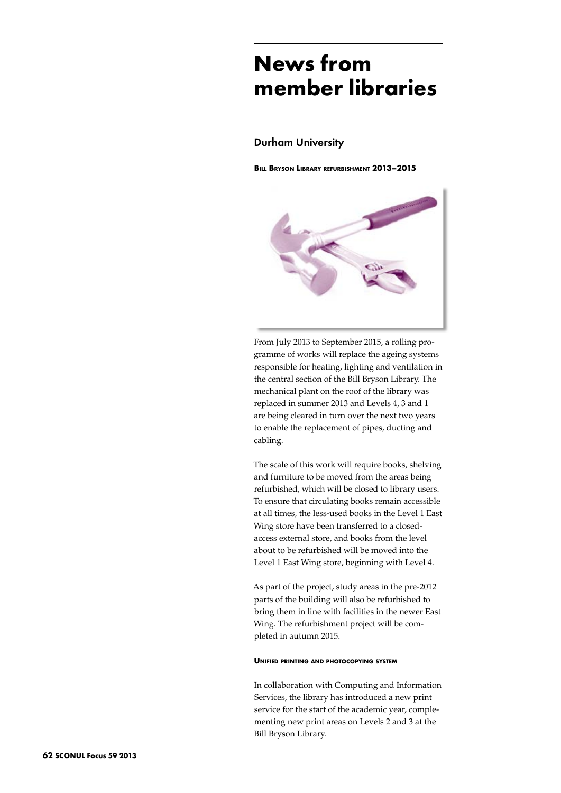# **News from member libraries**

## Durham University

**Bill Bryson Library refurbishment 2013–2015**



From July 2013 to September 2015, a rolling programme of works will replace the ageing systems responsible for heating, lighting and ventilation in the central section of the Bill Bryson Library. The mechanical plant on the roof of the library was replaced in summer 2013 and Levels 4, 3 and 1 are being cleared in turn over the next two years to enable the replacement of pipes, ducting and cabling.

The scale of this work will require books, shelving and furniture to be moved from the areas being refurbished, which will be closed to library users. To ensure that circulating books remain accessible at all times, the less-used books in the Level 1 East Wing store have been transferred to a closedaccess external store, and books from the level about to be refurbished will be moved into the Level 1 East Wing store, beginning with Level 4.

As part of the project, study areas in the pre-2012 parts of the building will also be refurbished to bring them in line with facilities in the newer East Wing. The refurbishment project will be completed in autumn 2015.

## **Unified printing and photocopying system**

In collaboration with Computing and Information Services, the library has introduced a new print service for the start of the academic year, complementing new print areas on Levels 2 and 3 at the Bill Bryson Library.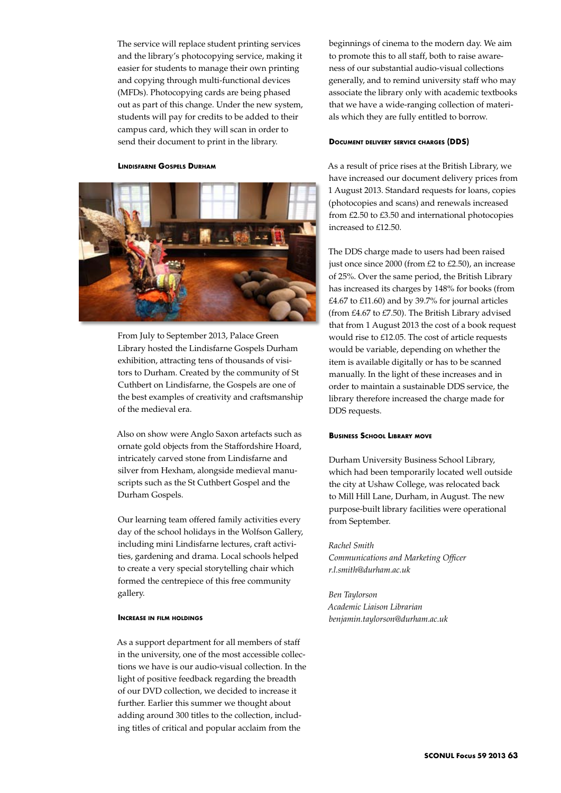The service will replace student printing services and the library's photocopying service, making it easier for students to manage their own printing and copying through multi-functional devices (MFDs). Photocopying cards are being phased out as part of this change. Under the new system, students will pay for credits to be added to their campus card, which they will scan in order to send their document to print in the library.

#### **Lindisfarne Gospels Durham**



From July to September 2013, Palace Green Library hosted the Lindisfarne Gospels Durham exhibition, attracting tens of thousands of visitors to Durham. Created by the community of St Cuthbert on Lindisfarne, the Gospels are one of the best examples of creativity and craftsmanship of the medieval era.

Also on show were Anglo Saxon artefacts such as ornate gold objects from the Staffordshire Hoard, intricately carved stone from Lindisfarne and silver from Hexham, alongside medieval manuscripts such as the St Cuthbert Gospel and the Durham Gospels.

Our learning team offered family activities every day of the school holidays in the Wolfson Gallery, including mini Lindisfarne lectures, craft activities, gardening and drama. Local schools helped to create a very special storytelling chair which formed the centrepiece of this free community gallery.

#### **Increase in film holdings**

As a support department for all members of staff in the university, one of the most accessible collections we have is our audio-visual collection. In the light of positive feedback regarding the breadth of our DVD collection, we decided to increase it further. Earlier this summer we thought about adding around 300 titles to the collection, including titles of critical and popular acclaim from the

beginnings of cinema to the modern day. We aim to promote this to all staff, both to raise awareness of our substantial audio-visual collections generally, and to remind university staff who may associate the library only with academic textbooks that we have a wide-ranging collection of materials which they are fully entitled to borrow.

#### **Document delivery service charges (DDS)**

As a result of price rises at the British Library, we have increased our document delivery prices from 1 August 2013. Standard requests for loans, copies (photocopies and scans) and renewals increased from £2.50 to £3.50 and international photocopies increased to £12.50.

The DDS charge made to users had been raised just once since 2000 (from £2 to £2.50), an increase of 25%. Over the same period, the British Library has increased its charges by 148% for books (from  $£4.67$  to  $£11.60$ ) and by 39.7% for journal articles (from £4.67 to £7.50). The British Library advised that from 1 August 2013 the cost of a book request would rise to £12.05. The cost of article requests would be variable, depending on whether the item is available digitally or has to be scanned manually. In the light of these increases and in order to maintain a sustainable DDS service, the library therefore increased the charge made for DDS requests.

#### **Business School Library move**

Durham University Business School Library, which had been temporarily located well outside the city at Ushaw College, was relocated back to Mill Hill Lane, Durham, in August. The new purpose-built library facilities were operational from September.

## *Rachel Smith*

*Communications and Marketing Officer r.l.smith@durham.ac.uk*

*Ben Taylorson Academic Liaison Librarian benjamin.taylorson@durham.ac.uk*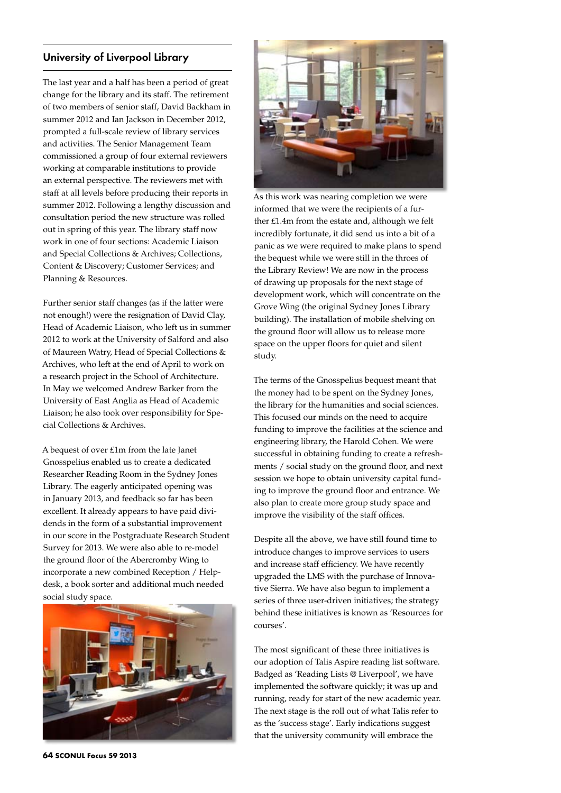# University of Liverpool Library

The last year and a half has been a period of great change for the library and its staff. The retirement of two members of senior staff, David Backham in summer 2012 and Ian Jackson in December 2012, prompted a full-scale review of library services and activities. The Senior Management Team commissioned a group of four external reviewers working at comparable institutions to provide an external perspective. The reviewers met with staff at all levels before producing their reports in summer 2012. Following a lengthy discussion and consultation period the new structure was rolled out in spring of this year. The library staff now work in one of four sections: Academic Liaison and Special Collections & Archives; Collections, Content & Discovery; Customer Services; and Planning & Resources.

Further senior staff changes (as if the latter were not enough!) were the resignation of David Clay, Head of Academic Liaison, who left us in summer 2012 to work at the University of Salford and also of Maureen Watry, Head of Special Collections & Archives, who left at the end of April to work on a research project in the School of Architecture. In May we welcomed Andrew Barker from the University of East Anglia as Head of Academic Liaison; he also took over responsibility for Special Collections & Archives.

A bequest of over £1m from the late Janet Gnosspelius enabled us to create a dedicated Researcher Reading Room in the Sydney Jones Library. The eagerly anticipated opening was in January 2013, and feedback so far has been excellent. It already appears to have paid dividends in the form of a substantial improvement in our score in the Postgraduate Research Student Survey for 2013. We were also able to re-model the ground floor of the Abercromby Wing to incorporate a new combined Reception / Helpdesk, a book sorter and additional much needed social study space.



As this work was nearing completion we were informed that we were the recipients of a further £1.4m from the estate and, although we felt incredibly fortunate, it did send us into a bit of a panic as we were required to make plans to spend the bequest while we were still in the throes of the Library Review! We are now in the process of drawing up proposals for the next stage of development work, which will concentrate on the Grove Wing (the original Sydney Jones Library building). The installation of mobile shelving on the ground floor will allow us to release more space on the upper floors for quiet and silent study.

The terms of the Gnosspelius bequest meant that the money had to be spent on the Sydney Jones, the library for the humanities and social sciences. This focused our minds on the need to acquire funding to improve the facilities at the science and engineering library, the Harold Cohen. We were successful in obtaining funding to create a refreshments / social study on the ground floor, and next session we hope to obtain university capital funding to improve the ground floor and entrance. We also plan to create more group study space and improve the visibility of the staff offices.

Despite all the above, we have still found time to introduce changes to improve services to users and increase staff efficiency. We have recently upgraded the LMS with the purchase of Innovative Sierra. We have also begun to implement a series of three user-driven initiatives; the strategy behind these initiatives is known as 'Resources for courses'.

The most significant of these three initiatives is our adoption of Talis Aspire reading list software. Badged as 'Reading Lists @ Liverpool', we have implemented the software quickly; it was up and running, ready for start of the new academic year. The next stage is the roll out of what Talis refer to as the 'success stage'. Early indications suggest that the university community will embrace the

**64 SCONUL Focus 59 2013**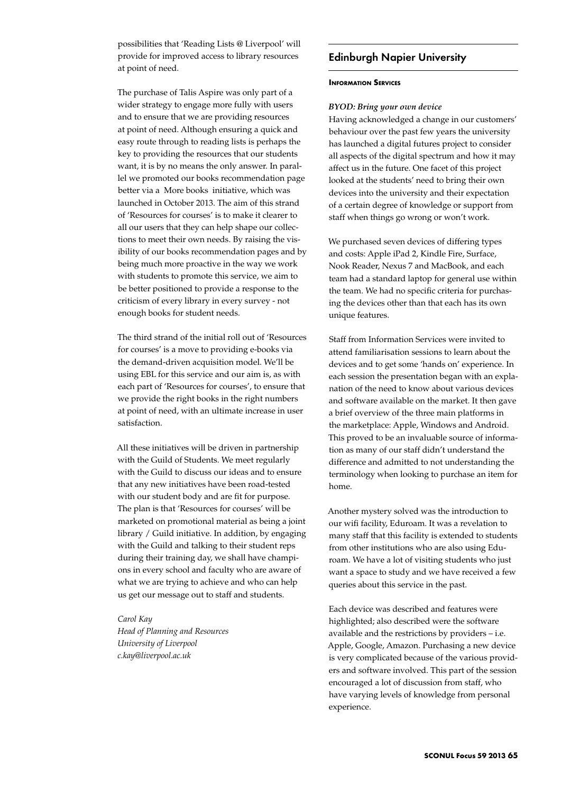possibilities that 'Reading Lists @ Liverpool' will provide for improved access to library resources at point of need.

The purchase of Talis Aspire was only part of a wider strategy to engage more fully with users and to ensure that we are providing resources at point of need. Although ensuring a quick and easy route through to reading lists is perhaps the key to providing the resources that our students want, it is by no means the only answer. In parallel we promoted our books recommendation page better via a More books initiative, which was launched in October 2013. The aim of this strand of 'Resources for courses' is to make it clearer to all our users that they can help shape our collections to meet their own needs. By raising the visibility of our books recommendation pages and by being much more proactive in the way we work with students to promote this service, we aim to be better positioned to provide a response to the criticism of every library in every survey - not enough books for student needs.

The third strand of the initial roll out of 'Resources for courses' is a move to providing e-books via the demand-driven acquisition model. We'll be using EBL for this service and our aim is, as with each part of 'Resources for courses', to ensure that we provide the right books in the right numbers at point of need, with an ultimate increase in user satisfaction.

All these initiatives will be driven in partnership with the Guild of Students. We meet regularly with the Guild to discuss our ideas and to ensure that any new initiatives have been road-tested with our student body and are fit for purpose. The plan is that 'Resources for courses' will be marketed on promotional material as being a joint library / Guild initiative. In addition, by engaging with the Guild and talking to their student reps during their training day, we shall have champions in every school and faculty who are aware of what we are trying to achieve and who can help us get our message out to staff and students.

*Carol Kay Head of Planning and Resources University of Liverpool c.kay@liverpool.ac.uk*

# Edinburgh Napier University

#### **Information Services**

## *BYOD: Bring your own device*

Having acknowledged a change in our customers' behaviour over the past few years the university has launched a digital futures project to consider all aspects of the digital spectrum and how it may affect us in the future. One facet of this project looked at the students' need to bring their own devices into the university and their expectation of a certain degree of knowledge or support from staff when things go wrong or won't work.

We purchased seven devices of differing types and costs: Apple iPad 2, Kindle Fire, Surface, Nook Reader, Nexus 7 and MacBook, and each team had a standard laptop for general use within the team. We had no specific criteria for purchasing the devices other than that each has its own unique features.

Staff from Information Services were invited to attend familiarisation sessions to learn about the devices and to get some 'hands on' experience. In each session the presentation began with an explanation of the need to know about various devices and software available on the market. It then gave a brief overview of the three main platforms in the marketplace: Apple, Windows and Android. This proved to be an invaluable source of information as many of our staff didn't understand the difference and admitted to not understanding the terminology when looking to purchase an item for home.

Another mystery solved was the introduction to our wifi facility, Eduroam. It was a revelation to many staff that this facility is extended to students from other institutions who are also using Eduroam. We have a lot of visiting students who just want a space to study and we have received a few queries about this service in the past.

Each device was described and features were highlighted; also described were the software available and the restrictions by providers – i.e. Apple, Google, Amazon. Purchasing a new device is very complicated because of the various providers and software involved. This part of the session encouraged a lot of discussion from staff, who have varying levels of knowledge from personal experience.